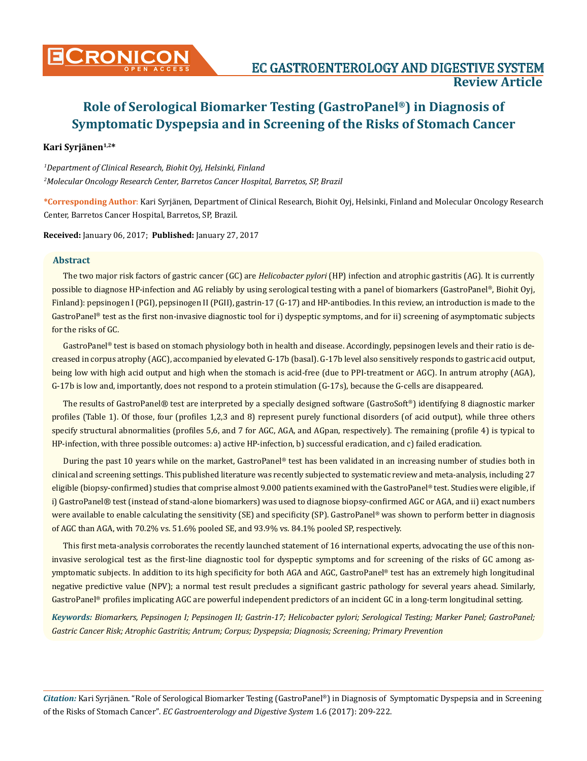# **Kari Syrjänen1,2\***

*1 Department of Clinical Research, Biohit Oyj, Helsinki, Finland 2 Molecular Oncology Research Center, Barretos Cancer Hospital, Barretos, SP, Brazil*

**\*Corresponding Author**: Kari Syrjänen, Department of Clinical Research, Biohit Oyj, Helsinki, Finland and Molecular Oncology Research Center, Barretos Cancer Hospital, Barretos, SP, Brazil.

**Received:** January 06, 2017; **Published:** January 27, 2017

## **Abstract**

The two major risk factors of gastric cancer (GC) are *Helicobacter pylori* (HP) infection and atrophic gastritis (AG). It is currently possible to diagnose HP-infection and AG reliably by using serological testing with a panel of biomarkers (GastroPanel®, Biohit Oyj, Finland): pepsinogen I (PGI), pepsinogen II (PGII), gastrin-17 (G-17) and HP-antibodies. In this review, an introduction is made to the GastroPanel® test as the first non-invasive diagnostic tool for i) dyspeptic symptoms, and for ii) screening of asymptomatic subjects for the risks of GC.

GastroPanel® test is based on stomach physiology both in health and disease. Accordingly, pepsinogen levels and their ratio is decreased in corpus atrophy (AGC), accompanied by elevated G-17b (basal). G-17b level also sensitively responds to gastric acid output, being low with high acid output and high when the stomach is acid-free (due to PPI-treatment or AGC). In antrum atrophy (AGA), G-17b is low and, importantly, does not respond to a protein stimulation (G-17s), because the G-cells are disappeared.

The results of GastroPanel® test are interpreted by a specially designed software (GastroSoft®) identifying 8 diagnostic marker profiles (Table 1). Of those, four (profiles 1,2,3 and 8) represent purely functional disorders (of acid output), while three others specify structural abnormalities (profiles 5,6, and 7 for AGC, AGA, and AGpan, respectively). The remaining (profile 4) is typical to HP-infection, with three possible outcomes: a) active HP-infection, b) successful eradication, and c) failed eradication.

During the past 10 years while on the market, GastroPanel® test has been validated in an increasing number of studies both in clinical and screening settings. This published literature was recently subjected to systematic review and meta-analysis, including 27 eligible (biopsy-confirmed) studies that comprise almost 9.000 patients examined with the GastroPanel® test. Studies were eligible, if i) GastroPanel® test (instead of stand-alone biomarkers) was used to diagnose biopsy-confirmed AGC or AGA, and ii) exact numbers were available to enable calculating the sensitivity (SE) and specificity (SP). GastroPanel® was shown to perform better in diagnosis of AGC than AGA, with 70.2% vs. 51.6% pooled SE, and 93.9% vs. 84.1% pooled SP, respectively.

This first meta-analysis corroborates the recently launched statement of 16 international experts, advocating the use of this noninvasive serological test as the first-line diagnostic tool for dyspeptic symptoms and for screening of the risks of GC among asymptomatic subjects. In addition to its high specificity for both AGA and AGC, GastroPanel® test has an extremely high longitudinal negative predictive value (NPV); a normal test result precludes a significant gastric pathology for several years ahead. Similarly, GastroPanel® profiles implicating AGC are powerful independent predictors of an incident GC in a long-term longitudinal setting.

*Keywords: Biomarkers, Pepsinogen I; Pepsinogen II; Gastrin-17; Helicobacter pylori; Serological Testing; Marker Panel; GastroPanel; Gastric Cancer Risk; Atrophic Gastritis; Antrum; Corpus; Dyspepsia; Diagnosis; Screening; Primary Prevention*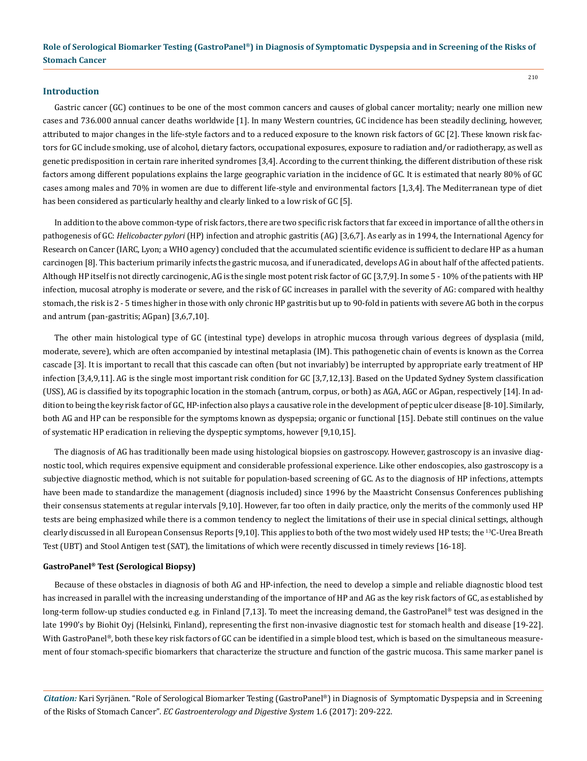## **Introduction**

Gastric cancer (GC) continues to be one of the most common cancers and causes of global cancer mortality; nearly one million new cases and 736.000 annual cancer deaths worldwide [1]. In many Western countries, GC incidence has been steadily declining, however, attributed to major changes in the life-style factors and to a reduced exposure to the known risk factors of GC [2]. These known risk factors for GC include smoking, use of alcohol, dietary factors, occupational exposures, exposure to radiation and/or radiotherapy, as well as genetic predisposition in certain rare inherited syndromes [3,4]. According to the current thinking, the different distribution of these risk factors among different populations explains the large geographic variation in the incidence of GC. It is estimated that nearly 80% of GC cases among males and 70% in women are due to different life-style and environmental factors [1,3,4]. The Mediterranean type of diet has been considered as particularly healthy and clearly linked to a low risk of GC [5].

In addition to the above common-type of risk factors, there are two specific risk factors that far exceed in importance of all the others in pathogenesis of GC: *Helicobacter pylori* (HP) infection and atrophic gastritis (AG) [3,6,7]. As early as in 1994, the International Agency for Research on Cancer (IARC, Lyon; a WHO agency) concluded that the accumulated scientific evidence is sufficient to declare HP as a human carcinogen [8]. This bacterium primarily infects the gastric mucosa, and if uneradicated, develops AG in about half of the affected patients. Although HP itself is not directly carcinogenic, AG is the single most potent risk factor of GC [3,7,9]. In some 5 - 10% of the patients with HP infection, mucosal atrophy is moderate or severe, and the risk of GC increases in parallel with the severity of AG: compared with healthy stomach, the risk is 2 - 5 times higher in those with only chronic HP gastritis but up to 90-fold in patients with severe AG both in the corpus and antrum (pan-gastritis; AGpan) [3,6,7,10].

The other main histological type of GC (intestinal type) develops in atrophic mucosa through various degrees of dysplasia (mild, moderate, severe), which are often accompanied by intestinal metaplasia (IM). This pathogenetic chain of events is known as the Correa cascade [3]. It is important to recall that this cascade can often (but not invariably) be interrupted by appropriate early treatment of HP infection [3,4,9,11]. AG is the single most important risk condition for GC [3,7,12,13]. Based on the Updated Sydney System classification (USS), AG is classified by its topographic location in the stomach (antrum, corpus, or both) as AGA, AGC or AGpan, respectively [14]. In addition to being the key risk factor of GC, HP-infection also plays a causative role in the development of peptic ulcer disease [8-10]. Similarly, both AG and HP can be responsible for the symptoms known as dyspepsia; organic or functional [15]. Debate still continues on the value of systematic HP eradication in relieving the dyspeptic symptoms, however [9,10,15].

The diagnosis of AG has traditionally been made using histological biopsies on gastroscopy. However, gastroscopy is an invasive diagnostic tool, which requires expensive equipment and considerable professional experience. Like other endoscopies, also gastroscopy is a subjective diagnostic method, which is not suitable for population-based screening of GC. As to the diagnosis of HP infections, attempts have been made to standardize the management (diagnosis included) since 1996 by the Maastricht Consensus Conferences publishing their consensus statements at regular intervals [9,10]. However, far too often in daily practice, only the merits of the commonly used HP tests are being emphasized while there is a common tendency to neglect the limitations of their use in special clinical settings, although clearly discussed in all European Consensus Reports [9,10]. This applies to both of the two most widely used HP tests; the 13C-Urea Breath Test (UBT) and Stool Antigen test (SAT), the limitations of which were recently discussed in timely reviews [16-18].

## **GastroPanel® Test (Serological Biopsy)**

Because of these obstacles in diagnosis of both AG and HP-infection, the need to develop a simple and reliable diagnostic blood test has increased in parallel with the increasing understanding of the importance of HP and AG as the key risk factors of GC, as established by long-term follow-up studies conducted e.g. in Finland [7,13]. To meet the increasing demand, the GastroPanel® test was designed in the late 1990's by Biohit Oyj (Helsinki, Finland), representing the first non-invasive diagnostic test for stomach health and disease [19-22]. With GastroPanel®, both these key risk factors of GC can be identified in a simple blood test, which is based on the simultaneous measurement of four stomach-specific biomarkers that characterize the structure and function of the gastric mucosa. This same marker panel is

*Citation:* Kari Syrjänen. "Role of Serological Biomarker Testing (GastroPanel®) in Diagnosis of Symptomatic Dyspepsia and in Screening of the Risks of Stomach Cancer". *EC Gastroenterology and Digestive System* 1.6 (2017): 209-222.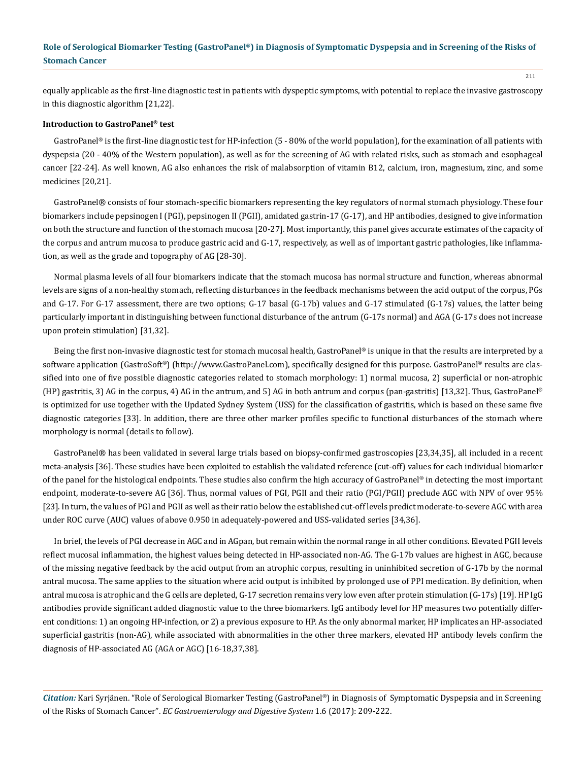equally applicable as the first-line diagnostic test in patients with dyspeptic symptoms, with potential to replace the invasive gastroscopy in this diagnostic algorithm [21,22].

## **Introduction to GastroPanel® test**

GastroPanel® is the first-line diagnostic test for HP-infection (5 - 80% of the world population), for the examination of all patients with dyspepsia (20 - 40% of the Western population), as well as for the screening of AG with related risks, such as stomach and esophageal cancer [22-24]. As well known, AG also enhances the risk of malabsorption of vitamin B12, calcium, iron, magnesium, zinc, and some medicines [20,21].

GastroPanel® consists of four stomach-specific biomarkers representing the key regulators of normal stomach physiology. These four biomarkers include pepsinogen I (PGI), pepsinogen II (PGII), amidated gastrin-17 (G-17), and HP antibodies, designed to give information on both the structure and function of the stomach mucosa [20-27]. Most importantly, this panel gives accurate estimates of the capacity of the corpus and antrum mucosa to produce gastric acid and G-17, respectively, as well as of important gastric pathologies, like inflammation, as well as the grade and topography of AG [28-30].

Normal plasma levels of all four biomarkers indicate that the stomach mucosa has normal structure and function, whereas abnormal levels are signs of a non-healthy stomach, reflecting disturbances in the feedback mechanisms between the acid output of the corpus, PGs and G-17. For G-17 assessment, there are two options; G-17 basal (G-17b) values and G-17 stimulated (G-17s) values, the latter being particularly important in distinguishing between functional disturbance of the antrum (G-17s normal) and AGA (G-17s does not increase upon protein stimulation) [31,32].

Being the first non-invasive diagnostic test for stomach mucosal health, GastroPanel® is unique in that the results are interpreted by a software application (GastroSoft®) ([http://www.GastroPanel.com\)](http://www.GastroPanel.com), specifically designed for this purpose. GastroPanel® results are classified into one of five possible diagnostic categories related to stomach morphology: 1) normal mucosa, 2) superficial or non-atrophic (HP) gastritis, 3) AG in the corpus, 4) AG in the antrum, and 5) AG in both antrum and corpus (pan-gastritis) [13,32]. Thus, GastroPanel® is optimized for use together with the Updated Sydney System (USS) for the classification of gastritis, which is based on these same five diagnostic categories [33]. In addition, there are three other marker profiles specific to functional disturbances of the stomach where morphology is normal (details to follow).

GastroPanel® has been validated in several large trials based on biopsy-confirmed gastroscopies [23,34,35], all included in a recent meta-analysis [36]. These studies have been exploited to establish the validated reference (cut-off) values for each individual biomarker of the panel for the histological endpoints. These studies also confirm the high accuracy of GastroPanel® in detecting the most important endpoint, moderate-to-severe AG [36]. Thus, normal values of PGI, PGII and their ratio (PGI/PGII) preclude AGC with NPV of over 95% [23]. In turn, the values of PGI and PGII as well as their ratio below the established cut-off levels predict moderate-to-severe AGC with area under ROC curve (AUC) values of above 0.950 in adequately-powered and USS-validated series [34,36].

In brief, the levels of PGI decrease in AGC and in AGpan, but remain within the normal range in all other conditions. Elevated PGII levels reflect mucosal inflammation, the highest values being detected in HP-associated non-AG. The G-17b values are highest in AGC, because of the missing negative feedback by the acid output from an atrophic corpus, resulting in uninhibited secretion of G-17b by the normal antral mucosa. The same applies to the situation where acid output is inhibited by prolonged use of PPI medication. By definition, when antral mucosa is atrophic and the G cells are depleted, G-17 secretion remains very low even after protein stimulation (G-17s) [19]. HP IgG antibodies provide significant added diagnostic value to the three biomarkers. IgG antibody level for HP measures two potentially different conditions: 1) an ongoing HP-infection, or 2) a previous exposure to HP. As the only abnormal marker, HP implicates an HP-associated superficial gastritis (non-AG), while associated with abnormalities in the other three markers, elevated HP antibody levels confirm the diagnosis of HP-associated AG (AGA or AGC) [16-18,37,38].

*Citation:* Kari Syrjänen. "Role of Serological Biomarker Testing (GastroPanel®) in Diagnosis of Symptomatic Dyspepsia and in Screening of the Risks of Stomach Cancer". *EC Gastroenterology and Digestive System* 1.6 (2017): 209-222.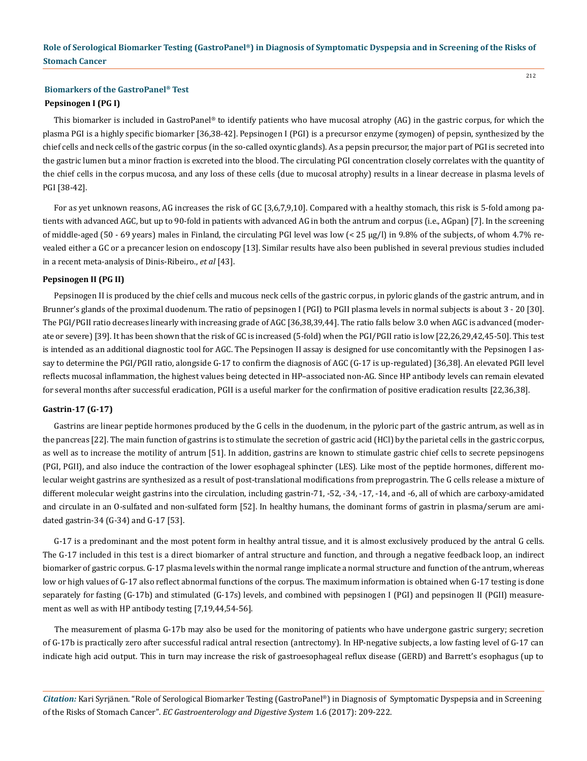# **Biomarkers of the GastroPanel® Test Pepsinogen I (PG I)**

This biomarker is included in GastroPanel<sup>®</sup> to identify patients who have mucosal atrophy (AG) in the gastric corpus, for which the plasma PGI is a highly specific biomarker [36,38-42]. Pepsinogen I (PGI) is a precursor enzyme (zymogen) of pepsin, synthesized by the chief cells and neck cells of the gastric corpus (in the so-called oxyntic glands). As a pepsin precursor, the major part of PGI is secreted into the gastric lumen but a minor fraction is excreted into the blood. The circulating PGI concentration closely correlates with the quantity of the chief cells in the corpus mucosa, and any loss of these cells (due to mucosal atrophy) results in a linear decrease in plasma levels of PGI [38-42].

For as yet unknown reasons, AG increases the risk of GC [3,6,7,9,10]. Compared with a healthy stomach, this risk is 5-fold among patients with advanced AGC, but up to 90-fold in patients with advanced AG in both the antrum and corpus (i.e., AGpan) [7]. In the screening of middle-aged (50 - 69 years) males in Finland, the circulating PGI level was low (< 25 μg/l) in 9.8% of the subjects, of whom 4.7% revealed either a GC or a precancer lesion on endoscopy [13]. Similar results have also been published in several previous studies included in a recent meta-analysis of Dinis-Ribeiro., *et al* [43].

## **Pepsinogen II (PG II)**

Pepsinogen II is produced by the chief cells and mucous neck cells of the gastric corpus, in pyloric glands of the gastric antrum, and in Brunner's glands of the proximal duodenum. The ratio of pepsinogen I (PGI) to PGII plasma levels in normal subjects is about 3 - 20 [30]. The PGI/PGII ratio decreases linearly with increasing grade of AGC [36,38,39,44]. The ratio falls below 3.0 when AGC is advanced (moderate or severe) [39]. It has been shown that the risk of GC is increased (5-fold) when the PGI/PGII ratio is low [22,26,29,42,45-50]. This test is intended as an additional diagnostic tool for AGC. The Pepsinogen II assay is designed for use concomitantly with the Pepsinogen I assay to determine the PGI/PGII ratio, alongside G-17 to confirm the diagnosis of AGC (G-17 is up-regulated) [36,38]. An elevated PGII level reflects mucosal inflammation, the highest values being detected in HP–associated non-AG. Since HP antibody levels can remain elevated for several months after successful eradication, PGII is a useful marker for the confirmation of positive eradication results [22,36,38].

## **Gastrin-17 (G-17)**

Gastrins are linear peptide hormones produced by the G cells in the duodenum, in the pyloric part of the gastric antrum, as well as in the pancreas [22]. The main function of gastrins is to stimulate the secretion of gastric acid (HCl) by the parietal cells in the gastric corpus, as well as to increase the motility of antrum [51]. In addition, gastrins are known to stimulate gastric chief cells to secrete pepsinogens (PGI, PGII), and also induce the contraction of the lower esophageal sphincter (LES). Like most of the peptide hormones, different molecular weight gastrins are synthesized as a result of post-translational modifications from preprogastrin. The G cells release a mixture of different molecular weight gastrins into the circulation, including gastrin-71, -52, -34, -17, -14, and -6, all of which are carboxy-amidated and circulate in an O-sulfated and non-sulfated form [52]. In healthy humans, the dominant forms of gastrin in plasma/serum are amidated gastrin-34 (G-34) and G-17 [53].

G-17 is a predominant and the most potent form in healthy antral tissue, and it is almost exclusively produced by the antral G cells. The G-17 included in this test is a direct biomarker of antral structure and function, and through a negative feedback loop, an indirect biomarker of gastric corpus. G-17 plasma levels within the normal range implicate a normal structure and function of the antrum, whereas low or high values of G-17 also reflect abnormal functions of the corpus. The maximum information is obtained when G-17 testing is done separately for fasting (G-17b) and stimulated (G-17s) levels, and combined with pepsinogen I (PGI) and pepsinogen II (PGII) measurement as well as with HP antibody testing [7,19,44,54-56].

The measurement of plasma G-17b may also be used for the monitoring of patients who have undergone gastric surgery; secretion of G-17b is practically zero after successful radical antral resection (antrectomy). In HP-negative subjects, a low fasting level of G-17 can indicate high acid output. This in turn may increase the risk of gastroesophageal reflux disease (GERD) and Barrett's esophagus (up to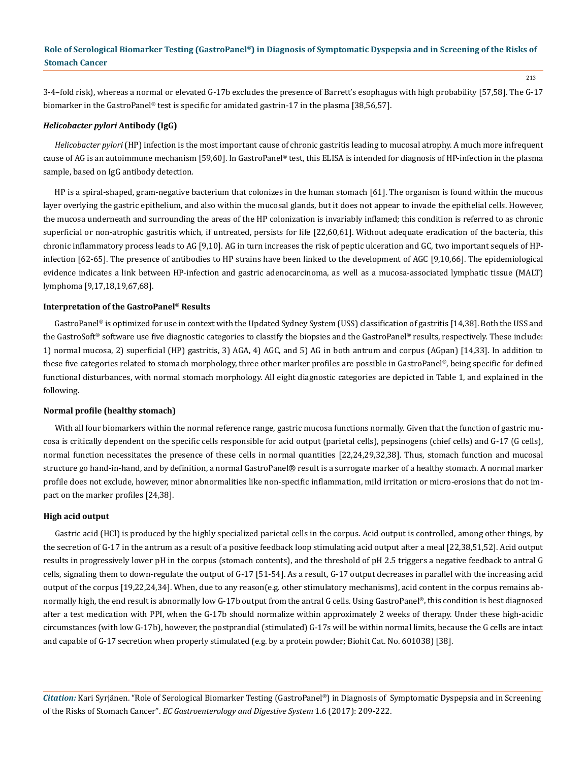3-4–fold risk), whereas a normal or elevated G-17b excludes the presence of Barrett's esophagus with high probability [57,58]. The G-17 biomarker in the GastroPanel® test is specific for amidated gastrin-17 in the plasma [38,56,57].

#### *Helicobacter pylori* **Antibody (IgG)**

*Helicobacter pylori* (HP) infection is the most important cause of chronic gastritis leading to mucosal atrophy. A much more infrequent cause of AG is an autoimmune mechanism [59,60]. In GastroPanel® test, this ELISA is intended for diagnosis of HP-infection in the plasma sample, based on IgG antibody detection.

HP is a spiral-shaped, gram-negative bacterium that colonizes in the human stomach [61]. The organism is found within the mucous layer overlying the gastric epithelium, and also within the mucosal glands, but it does not appear to invade the epithelial cells. However, the mucosa underneath and surrounding the areas of the HP colonization is invariably inflamed; this condition is referred to as chronic superficial or non-atrophic gastritis which, if untreated, persists for life [22,60,61]. Without adequate eradication of the bacteria, this chronic inflammatory process leads to AG [9,10]. AG in turn increases the risk of peptic ulceration and GC, two important sequels of HPinfection [62-65]. The presence of antibodies to HP strains have been linked to the development of AGC [9,10,66]. The epidemiological evidence indicates a link between HP-infection and gastric adenocarcinoma, as well as a mucosa-associated lymphatic tissue (MALT) lymphoma [9,17,18,19,67,68].

#### **Interpretation of the GastroPanel® Results**

GastroPanel® is optimized for use in context with the Updated Sydney System (USS) classification of gastritis [14,38]. Both the USS and the GastroSoft® software use five diagnostic categories to classify the biopsies and the GastroPanel® results, respectively. These include: 1) normal mucosa, 2) superficial (HP) gastritis, 3) AGA, 4) AGC, and 5) AG in both antrum and corpus (AGpan) [14,33]. In addition to these five categories related to stomach morphology, three other marker profiles are possible in GastroPanel®, being specific for defined functional disturbances, with normal stomach morphology. All eight diagnostic categories are depicted in Table 1, and explained in the following.

#### **Normal profile (healthy stomach)**

With all four biomarkers within the normal reference range, gastric mucosa functions normally. Given that the function of gastric mucosa is critically dependent on the specific cells responsible for acid output (parietal cells), pepsinogens (chief cells) and G-17 (G cells), normal function necessitates the presence of these cells in normal quantities [22,24,29,32,38]. Thus, stomach function and mucosal structure go hand-in-hand, and by definition, a normal GastroPanel® result is a surrogate marker of a healthy stomach. A normal marker profile does not exclude, however, minor abnormalities like non-specific inflammation, mild irritation or micro-erosions that do not impact on the marker profiles [24,38].

#### **High acid output**

Gastric acid (HCl) is produced by the highly specialized parietal cells in the corpus. Acid output is controlled, among other things, by the secretion of G-17 in the antrum as a result of a positive feedback loop stimulating acid output after a meal [22,38,51,52]. Acid output results in progressively lower pH in the corpus (stomach contents), and the threshold of pH 2.5 triggers a negative feedback to antral G cells, signaling them to down-regulate the output of G-17 [51-54]. As a result, G-17 output decreases in parallel with the increasing acid output of the corpus [19,22,24,34]. When, due to any reason(e.g. other stimulatory mechanisms), acid content in the corpus remains abnormally high, the end result is abnormally low G-17b output from the antral G cells. Using GastroPanel®, this condition is best diagnosed after a test medication with PPI, when the G-17b should normalize within approximately 2 weeks of therapy. Under these high-acidic circumstances (with low G-17b), however, the postprandial (stimulated) G-17s will be within normal limits, because the G cells are intact and capable of G-17 secretion when properly stimulated (e.g. by a protein powder; Biohit Cat. No. 601038) [38].

*Citation:* Kari Syrjänen. "Role of Serological Biomarker Testing (GastroPanel®) in Diagnosis of Symptomatic Dyspepsia and in Screening of the Risks of Stomach Cancer". *EC Gastroenterology and Digestive System* 1.6 (2017): 209-222.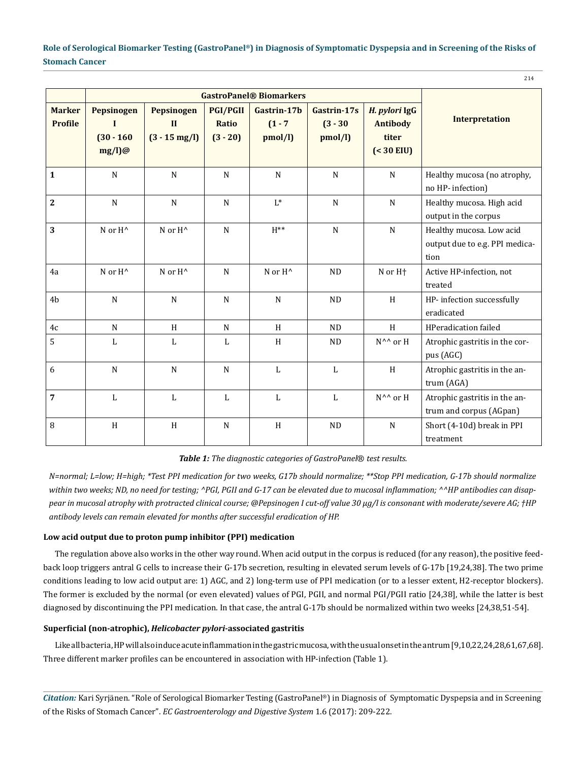214

|                                 | <b>GastroPanel® Biomarkers</b>                         |                                                       |                                        |                                     |                                      |                                                            |                                                                    |
|---------------------------------|--------------------------------------------------------|-------------------------------------------------------|----------------------------------------|-------------------------------------|--------------------------------------|------------------------------------------------------------|--------------------------------------------------------------------|
| <b>Marker</b><br><b>Profile</b> | Pepsinogen<br>$\mathbf I$<br>$(30 - 160)$<br>$mg/l)$ @ | Pepsinogen<br>$\mathbf{I}$<br>$(3 - 15 \text{ mg/l})$ | <b>PGI/PGII</b><br>Ratio<br>$(3 - 20)$ | Gastrin-17b<br>$(1 - 7)$<br>pmol/l) | Gastrin-17s<br>$(3 - 30)$<br>pmol/l) | H. pylori IgG<br><b>Antibody</b><br>titer<br>$( < 30$ EIU) | <b>Interpretation</b>                                              |
| $\mathbf{1}$                    | $\mathbf N$                                            | ${\bf N}$                                             | ${\bf N}$                              | ${\bf N}$                           | ${\bf N}$                            | $\mathbf N$                                                | Healthy mucosa (no atrophy,<br>no HP- infection)                   |
| $\overline{2}$                  | $\mathbf N$                                            | ${\bf N}$                                             | ${\bf N}$                              | $L^*$                               | ${\bf N}$                            | $\mathbf N$                                                | Healthy mucosa. High acid<br>output in the corpus                  |
| 3                               | N or H <sup>^</sup>                                    | N or H <sup>^</sup>                                   | ${\bf N}$                              | $\mathrm{H^{**}}$                   | ${\bf N}$                            | ${\bf N}$                                                  | Healthy mucosa. Low acid<br>output due to e.g. PPI medica-<br>tion |
| 4a                              | N or H <sup>^</sup>                                    | $N$ or $H^{\wedge}$                                   | $\mathbf N$                            | N or H <sup>^</sup>                 | <b>ND</b>                            | N or H <sup>+</sup>                                        | Active HP-infection, not<br>treated                                |
| 4 <sub>b</sub>                  | N                                                      | $\mathbf N$                                           | N                                      | N                                   | <b>ND</b>                            | H                                                          | HP- infection successfully<br>eradicated                           |
| 4c                              | N                                                      | H                                                     | N                                      | H                                   | <b>ND</b>                            | H                                                          | <b>HPeradication failed</b>                                        |
| 5                               | L                                                      | L                                                     | L                                      | H                                   | <b>ND</b>                            | N^^ or H                                                   | Atrophic gastritis in the cor-<br>pus (AGC)                        |
| 6                               | ${\bf N}$                                              | ${\bf N}$                                             | ${\bf N}$                              | $\mathbf L$                         | $\mathbf L$                          | $\, {\rm H}$                                               | Atrophic gastritis in the an-<br>trum (AGA)                        |
| 7                               | L                                                      | $\mathbf{L}$                                          | $\mathbf{L}$                           | $\mathbf{L}$                        | L                                    | N^^ or H                                                   | Atrophic gastritis in the an-<br>trum and corpus (AGpan)           |
| 8                               | $\boldsymbol{\mathrm{H}}$                              | H                                                     | ${\bf N}$                              | H                                   | <b>ND</b>                            | ${\bf N}$                                                  | Short (4-10d) break in PPI<br>treatment                            |

*Table 1: The diagnostic categories of GastroPanel*® *test results.*

*N=normal; L=low; H=high; \*Test PPI medication for two weeks, G17b should normalize; \*\*Stop PPI medication, G-17b should normalize within two weeks; ND, no need for testing; ^PGI, PGII and G-17 can be elevated due to mucosal inflammation; ^^HP antibodies can disappear in mucosal atrophy with protracted clinical course; @Pepsinogen I cut-off value 30 µg/l is consonant with moderate/severe AG; †HP antibody levels can remain elevated for months after successful eradication of HP.* 

## **Low acid output due to proton pump inhibitor (PPI) medication**

The regulation above also works in the other way round. When acid output in the corpus is reduced (for any reason), the positive feedback loop triggers antral G cells to increase their G-17b secretion, resulting in elevated serum levels of G-17b [19,24,38]. The two prime conditions leading to low acid output are: 1) AGC, and 2) long-term use of PPI medication (or to a lesser extent, H2-receptor blockers). The former is excluded by the normal (or even elevated) values of PGI, PGII, and normal PGI/PGII ratio [24,38], while the latter is best diagnosed by discontinuing the PPI medication. In that case, the antral G-17b should be normalized within two weeks [24,38,51-54].

# **Superficial (non-atrophic),** *Helicobacter pylori-***associated gastritis**

Like all bacteria, HP will also induce acute inflammation in the gastric mucosa, with the usual onset in the antrum [9,10,22,24,28,61,67,68]. Three different marker profiles can be encountered in association with HP-infection (Table 1).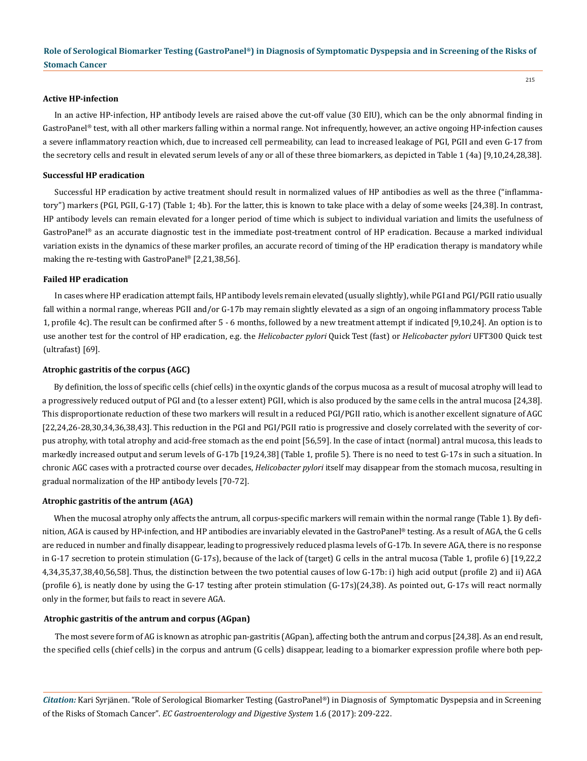## **Active HP-infection**

In an active HP-infection, HP antibody levels are raised above the cut-off value (30 EIU), which can be the only abnormal finding in GastroPanel® test, with all other markers falling within a normal range. Not infrequently, however, an active ongoing HP-infection causes a severe inflammatory reaction which, due to increased cell permeability, can lead to increased leakage of PGI, PGII and even G-17 from the secretory cells and result in elevated serum levels of any or all of these three biomarkers, as depicted in Table 1 (4a) [9,10,24,28,38].

## **Successful HP eradication**

Successful HP eradication by active treatment should result in normalized values of HP antibodies as well as the three ("inflammatory") markers (PGI, PGII, G-17) (Table 1; 4b). For the latter, this is known to take place with a delay of some weeks [24,38]. In contrast, HP antibody levels can remain elevated for a longer period of time which is subject to individual variation and limits the usefulness of GastroPanel® as an accurate diagnostic test in the immediate post-treatment control of HP eradication. Because a marked individual variation exists in the dynamics of these marker profiles, an accurate record of timing of the HP eradication therapy is mandatory while making the re-testing with GastroPanel® [2,21,38,56].

#### **Failed HP eradication**

In cases where HP eradication attempt fails, HP antibody levels remain elevated (usually slightly), while PGI and PGI/PGII ratio usually fall within a normal range, whereas PGII and/or G-17b may remain slightly elevated as a sign of an ongoing inflammatory process Table 1, profile 4c). The result can be confirmed after 5 - 6 months, followed by a new treatment attempt if indicated [9,10,24]. An option is to use another test for the control of HP eradication, e.g. the *Helicobacter pylori* Quick Test (fast) or *Helicobacter pylori* UFT300 Quick test (ultrafast) [69].

## **Atrophic gastritis of the corpus (AGC)**

By definition, the loss of specific cells (chief cells) in the oxyntic glands of the corpus mucosa as a result of mucosal atrophy will lead to a progressively reduced output of PGI and (to a lesser extent) PGII, which is also produced by the same cells in the antral mucosa [24,38]. This disproportionate reduction of these two markers will result in a reduced PGI/PGII ratio, which is another excellent signature of AGC [22,24,26-28,30,34,36,38,43]. This reduction in the PGI and PGI/PGII ratio is progressive and closely correlated with the severity of corpus atrophy, with total atrophy and acid-free stomach as the end point [56,59]. In the case of intact (normal) antral mucosa, this leads to markedly increased output and serum levels of G-17b [19,24,38] (Table 1, profile 5). There is no need to test G-17s in such a situation. In chronic AGC cases with a protracted course over decades, *Helicobacter pylori* itself may disappear from the stomach mucosa, resulting in gradual normalization of the HP antibody levels [70-72].

#### **Atrophic gastritis of the antrum (AGA)**

When the mucosal atrophy only affects the antrum, all corpus-specific markers will remain within the normal range (Table 1). By definition, AGA is caused by HP-infection, and HP antibodies are invariably elevated in the GastroPanel® testing. As a result of AGA, the G cells are reduced in number and finally disappear, leading to progressively reduced plasma levels of G-17b. In severe AGA, there is no response in G-17 secretion to protein stimulation (G-17s), because of the lack of (target) G cells in the antral mucosa (Table 1, profile 6) [19,22,2 4,34,35,37,38,40,56,58]. Thus, the distinction between the two potential causes of low G-17b: i) high acid output (profile 2) and ii) AGA (profile 6), is neatly done by using the G-17 testing after protein stimulation (G-17s)(24,38). As pointed out, G-17s will react normally only in the former, but fails to react in severe AGA.

## **Atrophic gastritis of the antrum and corpus (AGpan)**

The most severe form of AG is known as atrophic pan-gastritis (AGpan), affecting both the antrum and corpus [24,38]. As an end result, the specified cells (chief cells) in the corpus and antrum (G cells) disappear, leading to a biomarker expression profile where both pep-

*Citation:* Kari Syrjänen. "Role of Serological Biomarker Testing (GastroPanel®) in Diagnosis of Symptomatic Dyspepsia and in Screening of the Risks of Stomach Cancer". *EC Gastroenterology and Digestive System* 1.6 (2017): 209-222.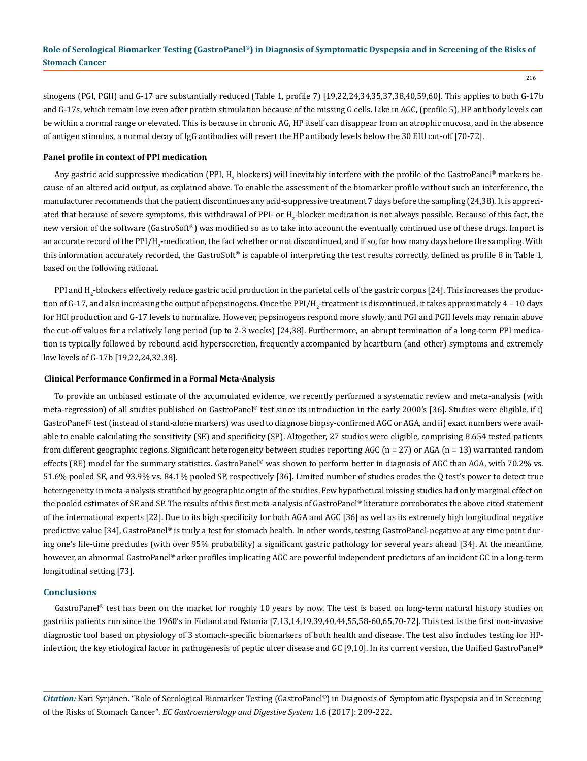216

sinogens (PGI, PGII) and G-17 are substantially reduced (Table 1, profile 7) [19,22,24,34,35,37,38,40,59,60]. This applies to both G-17b and G-17s, which remain low even after protein stimulation because of the missing G cells. Like in AGC, (profile 5), HP antibody levels can be within a normal range or elevated. This is because in chronic AG, HP itself can disappear from an atrophic mucosa, and in the absence of antigen stimulus, a normal decay of IgG antibodies will revert the HP antibody levels below the 30 EIU cut-off [70-72].

## **Panel profile in context of PPI medication**

Any gastric acid suppressive medication (PPI, H<sub>2</sub> blockers) will inevitably interfere with the profile of the GastroPanel® markers because of an altered acid output, as explained above. To enable the assessment of the biomarker profile without such an interference, the manufacturer recommends that the patient discontinues any acid-suppressive treatment 7 days before the sampling (24,38). It is appreciated that because of severe symptoms, this withdrawal of PPI- or  ${\rm H_2}$ -blocker medication is not always possible. Because of this fact, the new version of the software (GastroSoft®) was modified so as to take into account the eventually continued use of these drugs. Import is an accurate record of the PPI/H<sub>2</sub>-medication, the fact whether or not discontinued, and if so, for how many days before the sampling. With this information accurately recorded, the GastroSoft® is capable of interpreting the test results correctly, defined as profile 8 in Table 1, based on the following rational.

PPI and H<sub>2</sub>-blockers effectively reduce gastric acid production in the parietal cells of the gastric corpus [24]. This increases the production of G-17, and also increasing the output of pepsinogens. Once the PPI/H $_2$ -treatment is discontinued, it takes approximately 4 – 10 days for HCl production and G-17 levels to normalize. However, pepsinogens respond more slowly, and PGI and PGII levels may remain above the cut-off values for a relatively long period (up to 2-3 weeks) [24,38]. Furthermore, an abrupt termination of a long-term PPI medication is typically followed by rebound acid hypersecretion, frequently accompanied by heartburn (and other) symptoms and extremely low levels of G-17b [19,22,24,32,38].

## **Clinical Performance Confirmed in a Formal Meta-Analysis**

To provide an unbiased estimate of the accumulated evidence, we recently performed a systematic review and meta-analysis (with meta-regression) of all studies published on GastroPanel® test since its introduction in the early 2000's [36]. Studies were eligible, if i) GastroPanel® test (instead of stand-alone markers) was used to diagnose biopsy-confirmed AGC or AGA, and ii) exact numbers were available to enable calculating the sensitivity (SE) and specificity (SP). Altogether, 27 studies were eligible, comprising 8.654 tested patients from different geographic regions. Significant heterogeneity between studies reporting AGC ( $n = 27$ ) or AGA ( $n = 13$ ) warranted random effects (RE) model for the summary statistics. GastroPanel® was shown to perform better in diagnosis of AGC than AGA, with 70.2% vs. 51.6% pooled SE, and 93.9% vs. 84.1% pooled SP, respectively [36]. Limited number of studies erodes the Q test's power to detect true heterogeneity in meta-analysis stratified by geographic origin of the studies. Few hypothetical missing studies had only marginal effect on the pooled estimates of SE and SP. The results of this first meta-analysis of GastroPanel® literature corroborates the above cited statement of the international experts [22]. Due to its high specificity for both AGA and AGC [36] as well as its extremely high longitudinal negative predictive value [34], GastroPanel® is truly a test for stomach health. In other words, testing GastroPanel-negative at any time point during one's life-time precludes (with over 95% probability) a significant gastric pathology for several years ahead [34]. At the meantime, however, an abnormal GastroPanel® arker profiles implicating AGC are powerful independent predictors of an incident GC in a long-term longitudinal setting [73].

## **Conclusions**

GastroPanel® test has been on the market for roughly 10 years by now. The test is based on long-term natural history studies on gastritis patients run since the 1960's in Finland and Estonia [7,13,14,19,39,40,44,55,58-60,65,70-72]. This test is the first non-invasive diagnostic tool based on physiology of 3 stomach-specific biomarkers of both health and disease. The test also includes testing for HPinfection, the key etiological factor in pathogenesis of peptic ulcer disease and GC [9,10]. In its current version, the Unified GastroPanel®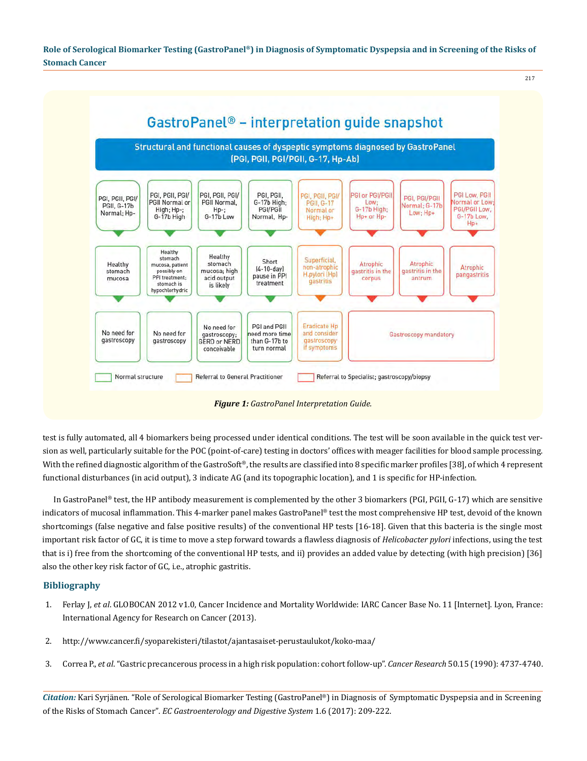217

GastroPanel® - interpretation quide snapshot Structural and functional causes of dyspeptic symptoms diagnosed by GastroPanel (PGI, PGII, PGI/PGII, G-17, Hp-Ab) PGI, PGII, PGI/ PGI, PGII, PGI/ PGI, PGII, **GI or PGI/PGI** PGI Low, PGII PGI, PGII, PGI PGI, PGII, PGI/ PGI, PGI/PGII PGII Normal or PGII Normal, G-17b High; **PGII, G-17** Low:<br>G-17b High: formal or Low PGII, G-17b Normal: G-17b PGI/PGII Low High; Hp-; PGI/PGIL  $Hp-$ ;<br>G-17b Low Normal or Low: Hp+ Normal; Hp-G-17b High Normal, Hp-Hp+ or Hp-G-17b Low. High; Hp+ Hp+ Healthy Healthy stomach Superficial Short Healthy stomach Atrophic **Atrophic** mucosa, patient Atrophic  $[4-10-day]$ non-atrophic possibly on stomach mucosa; high gastritis in the gastritis in the H.pylori (Hp) pangastritis pause in PPI PPI treatment; mucosa acid output corpus antrum gastritis treatment stomach is is likely hypochlorhydric PGI and PGII **Eradicate Hp** No need for No need for No need for eed more time and consider gastroscopy **Gastroscopy mandatory** gastroscopy gastroscopy gastroscopy **GERD or NERD** than G-17b to if symptoms conceivable turn normal

*Figure 1: GastroPanel Interpretation Guide.*

Referral to Specialist; gastroscopy/biopsy

Referral to General Practitioner

Normal structure

test is fully automated, all 4 biomarkers being processed under identical conditions. The test will be soon available in the quick test version as well, particularly suitable for the POC (point-of-care) testing in doctors' offices with meager facilities for blood sample processing. With the refined diagnostic algorithm of the GastroSoft®, the results are classified into 8 specific marker profiles [38], of which 4 represent functional disturbances (in acid output), 3 indicate AG (and its topographic location), and 1 is specific for HP-infection.

In GastroPanel® test, the HP antibody measurement is complemented by the other 3 biomarkers (PGI, PGII, G-17) which are sensitive indicators of mucosal inflammation. This 4-marker panel makes GastroPanel® test the most comprehensive HP test, devoid of the known shortcomings (false negative and false positive results) of the conventional HP tests [16-18]. Given that this bacteria is the single most important risk factor of GC, it is time to move a step forward towards a flawless diagnosis of *Helicobacter pylori* infections, using the test that is i) free from the shortcoming of the conventional HP tests, and ii) provides an added value by detecting (with high precision) [36] also the other key risk factor of GC, i.e., atrophic gastritis.

## **Bibliography**

- 1. Ferlay J, *et al*[. GLOBOCAN 2012 v1.0, Cancer Incidence and Mortality Worldwide: IARC Cancer Base No. 11 \[Internet\]. Lyon, France:](http://globocan.iarc.fr/Default.aspx)  [International Agency for Research on Cancer \(2013\).](http://globocan.iarc.fr/Default.aspx)
- 2. <http://www.cancer.fi/syoparekisteri/tilastot/ajantasaiset-perustaulukot/koko-maa/>
- 3. Correa P., *et al*[. "Gastric precancerous process in a high risk population: cohort follow-up".](https://www.ncbi.nlm.nih.gov/pubmed/2369748) *Cancer Research* 50.15 (1990): 4737-4740.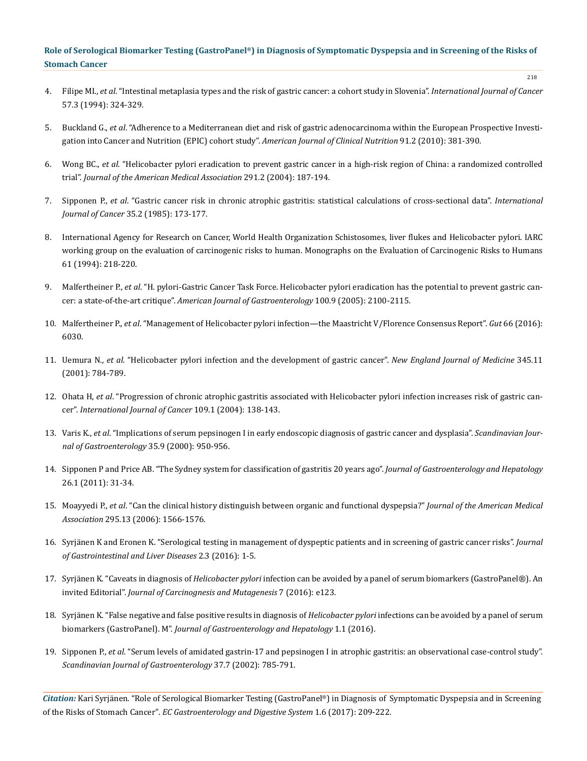- 4. Filipe MI., *et al*[. "Intestinal metaplasia types and the risk of gastric cancer: a cohort study in Slovenia".](https://www.ncbi.nlm.nih.gov/pubmed/8168991) *International Journal of Cancer*  [57.3 \(1994\): 324-329.](https://www.ncbi.nlm.nih.gov/pubmed/8168991)
- 5. Buckland G., *et al*[. "Adherence to a Mediterranean diet and risk of gastric adenocarcinoma within the European Prospective Investi](https://www.ncbi.nlm.nih.gov/pubmed/20007304)[gation into Cancer and Nutrition \(EPIC\) cohort study".](https://www.ncbi.nlm.nih.gov/pubmed/20007304) *American Journal of Clinical Nutrition* 91.2 (2010): 381-390.
- 6. Wong BC., *et al*[. "Helicobacter pylori eradication to prevent gastric cancer in a high-risk region of China: a randomized controlled](https://www.ncbi.nlm.nih.gov/pubmed/14722144) trial". *[Journal of the American Medical Association](https://www.ncbi.nlm.nih.gov/pubmed/14722144)* 291.2 (2004): 187-194.
- 7. Sipponen P., *et al*[. "Gastric cancer risk in chronic atrophic gastritis: statistical calculations of cross-sectional data".](https://www.ncbi.nlm.nih.gov/pubmed/3871738) *International Journal of Cancer* [35.2 \(1985\): 173-177.](https://www.ncbi.nlm.nih.gov/pubmed/3871738)
- 8. [International Agency for Research on Cancer, World Health Organization Schistosomes, liver flukes and Helicobacter pylori. IARC](http://monographs.iarc.fr/ENG/Monographs/vol61/) [working group on the evaluation of carcinogenic risks to human. Monographs on the Evaluation of Carcinogenic Risks to Humans](http://monographs.iarc.fr/ENG/Monographs/vol61/) [61 \(1994\): 218-220.](http://monographs.iarc.fr/ENG/Monographs/vol61/)
- 9. Malfertheiner P., *et al*[. "H. pylori-Gastric Cancer Task Force. Helicobacter pylori eradication has the potential to prevent gastric can](https://www.ncbi.nlm.nih.gov/pubmed/16128957)cer: a state-of-the-art critique". *[American Journal of Gastroenterology](https://www.ncbi.nlm.nih.gov/pubmed/16128957)* 100.9 (2005): 2100-2115.
- 10. Malfertheiner P., *et al*[. "Management of Helicobacter pylori infection—the Maastricht V/Florence Consensus Report".](http://gut.bmj.com/content/early/2016/10/04/gutjnl-2016-312288.abstract) *Gut* 66 (2016): [6030.](http://gut.bmj.com/content/early/2016/10/04/gutjnl-2016-312288.abstract)
- 11. Uemura N., *et al*[. "Helicobacter pylori infection and the development of gastric cancer".](https://www.ncbi.nlm.nih.gov/pubmed/11556297) *New England Journal of Medicine* 345.11 [\(2001\): 784-789.](https://www.ncbi.nlm.nih.gov/pubmed/11556297)
- 12. Ohata H, *et al*[. "Progression of chronic atrophic gastritis associated with Helicobacter pylori infection increases risk of gastric can](https://www.ncbi.nlm.nih.gov/pubmed/14735480)cer". *[International Journal of Cancer](https://www.ncbi.nlm.nih.gov/pubmed/14735480)* 109.1 (2004): 138-143.
- 13. Varis K., *et al*[. "Implications of serum pepsinogen I in early endoscopic diagnosis of gastric cancer and dysplasia".](http://www.tandfonline.com/doi/abs/10.1080/003655200750023011?journalCode=igas20) *Scandinavian Jour[nal of Gastroenterology](http://www.tandfonline.com/doi/abs/10.1080/003655200750023011?journalCode=igas20)* 35.9 (2000): 950-956.
- 14. [Sipponen P and Price AB. "The Sydney system for classification of gastritis 20 years ago".](https://www.ncbi.nlm.nih.gov/pubmed/21199511) *Journal of Gastroenterology and Hepatology* [26.1 \(2011\): 31-34.](https://www.ncbi.nlm.nih.gov/pubmed/21199511)
- 15. Moayyedi P., *et al*[. "Can the clinical history distinguish between organic and functional dyspepsia?"](https://www.ncbi.nlm.nih.gov/pubmed/16595759) *Journal of the American Medical Association* [295.13 \(2006\): 1566-1576.](https://www.ncbi.nlm.nih.gov/pubmed/16595759)
- 16. [Syrjänen K and Eronen K. "Serological testing in management of dyspeptic patients and in screening of gastric cancer risks".](http://www.ommegaonline.org/article-details/Serological-testing-in-management-of-dyspeptic-patients-and-in-screening-of-gastric-cancer-risks/1242) *Journal [of Gastrointestinal and Liver Diseases](http://www.ommegaonline.org/article-details/Serological-testing-in-management-of-dyspeptic-patients-and-in-screening-of-gastric-cancer-risks/1242)* 2.3 (2016): 1-5.
- 17. Syrjänen K. "Caveats in diagnosis of *Helicobacter pylori* [infection can be avoided by a panel of serum biomarkers \(GastroPanel®\). An](https://www.omicsonline.org/open-access/caveats-in-diagnosis-of-helicobacter-pylori-infection-can-be-avoided-by-a-panel-of-serum-biomarkers-gastropanel-2157-2518-1000e123.pdf) invited Editorial". *[Journal of Carcinognesis and Mutagenesis](https://www.omicsonline.org/open-access/caveats-in-diagnosis-of-helicobacter-pylori-infection-can-be-avoided-by-a-panel-of-serum-biomarkers-gastropanel-2157-2518-1000e123.pdf)* 7 (2016): e123.
- 18. Syrjänen K. "False negative and false positive results in diagnosis of *Helicobacter pylori* infections can be avoided by a panel of serum biomarkers (GastroPanel). M". *Journal of Gastroenterology and Hepatology* 1.1 (2016).
- 19. Sipponen P., *et al*[. "Serum levels of amidated gastrin-17 and pepsinogen I in atrophic gastritis: an observational case-control study".](https://www.ncbi.nlm.nih.gov/pubmed/12190091) *[Scandinavian Journal of Gastroenterology](https://www.ncbi.nlm.nih.gov/pubmed/12190091)* 37.7 (2002): 785-791.

*Citation:* Kari Syrjänen. "Role of Serological Biomarker Testing (GastroPanel®) in Diagnosis of Symptomatic Dyspepsia and in Screening of the Risks of Stomach Cancer". *EC Gastroenterology and Digestive System* 1.6 (2017): 209-222.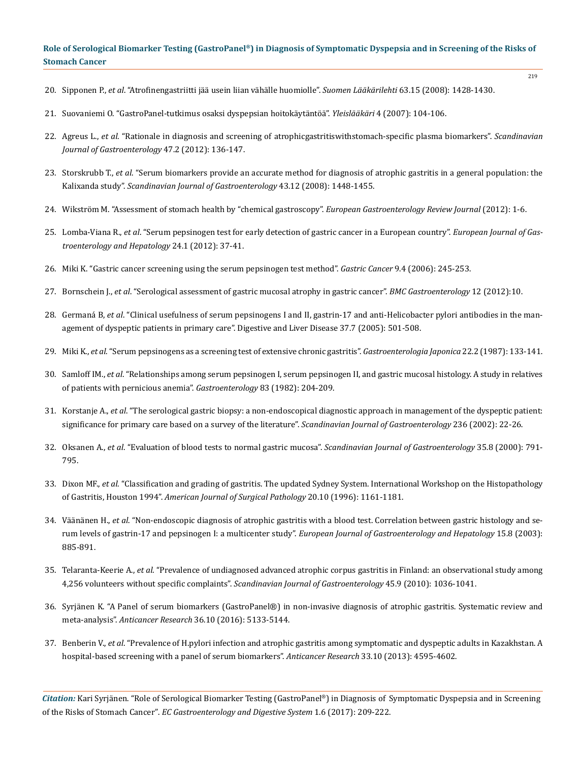219

- 20. Sipponen P., *et al*. "Atrofinengastriitti jää usein liian vähälle huomiolle". *Suomen Lääkärilehti* 63.15 (2008): 1428-1430.
- 21. [Suovaniemi O. "GastroPanel-tutkimus osaksi dyspepsian hoitokäytäntöä".](http://www.biohithealthcare.com/download.php?id=81&lang=) *Yleislääkäri* 4 (2007): 104-106.
- 22. Agreus L., *et al*[. "Rationale in diagnosis and screening of atrophicgastritiswithstomach-specific plasma biomarkers".](https://www.ncbi.nlm.nih.gov/pubmed/22242613) *Scandinavian [Journal of Gastroenterology](https://www.ncbi.nlm.nih.gov/pubmed/22242613)* 47.2 (2012): 136-147.
- 23. Storskrubb T., *et al*[. "Serum biomarkers provide an accurate method for diagnosis of atrophic gastritis in a general population: the](https://www.ncbi.nlm.nih.gov/pubmed/18663663) Kalixanda study". *[Scandinavian Journal of Gastroenterology](https://www.ncbi.nlm.nih.gov/pubmed/18663663)* 43.12 (2008): 1448-1455.
- 24. Wikström M. "Assessment of stomach health by "chemical gastroscopy". *European Gastroenterology Review Journal* (2012): 1-6.
- 25. Lomba-Viana R., *et al*[. "Serum pepsinogen test for early detection of gastric cancer in a European country".](https://www.ncbi.nlm.nih.gov/pubmed/21989121) *European Journal of Gas[troenterology and Hepatology](https://www.ncbi.nlm.nih.gov/pubmed/21989121)* 24.1 (2012): 37-41.
- 26. [Miki K. "Gastric cancer screening using the serum pepsinogen test method".](https://www.ncbi.nlm.nih.gov/pubmed/17235625) *Gastric Cancer* 9.4 (2006): 245-253.
- 27. Bornschein J., *et al*[. "Serological assessment of gastric mucosal atrophy in gastric cancer".](https://www.ncbi.nlm.nih.gov/pubmed/22289789) *BMC Gastroenterology* 12 (2012):10.
- 28. Germaná B, *et al*[. "Clinical usefulness of serum pepsinogens I and II, gastrin-17 and anti-Helicobacter pylori antibodies in the man](https://www.ncbi.nlm.nih.gov/pubmed/15975537)[agement of dyspeptic patients in primary care". Digestive and Liver Disease 37.7 \(2005\): 501-508.](https://www.ncbi.nlm.nih.gov/pubmed/15975537)
- 29. Miki K., *et al*[. "Serum pepsinogens as a screening test of extensive chronic gastritis".](https://www.ncbi.nlm.nih.gov/pubmed/3596151) *Gastroenterologia Japonica* 22.2 (1987): 133-141.
- 30. Samloff IM., *et al*[. "Relationships among serum pepsinogen I, serum pepsinogen II, and gastric mucosal histology. A study in relatives](https://www.ncbi.nlm.nih.gov/pubmed/7084603) [of patients with pernicious anemia".](https://www.ncbi.nlm.nih.gov/pubmed/7084603) *Gastroenterology* 83 (1982): 204-209.
- 31. Korstanje A., *et al*[. "The serological gastric biopsy: a non-endoscopical diagnostic approach in management of the dyspeptic patient:](https://www.ncbi.nlm.nih.gov/pubmed/12408500) [significance for primary care based on a survey of the literature".](https://www.ncbi.nlm.nih.gov/pubmed/12408500) *Scandinavian Journal of Gastroenterology* 236 (2002): 22-26.
- 32. Oksanen A., *et al*[. "Evaluation of blood tests to normal gastric mucosa".](https://www.ncbi.nlm.nih.gov/pubmed/10994615) *Scandinavian Journal of Gastroenterology* 35.8 (2000): 791- [795.](https://www.ncbi.nlm.nih.gov/pubmed/10994615)
- 33. Dixon MF., *et al*[. "Classification and grading of gastritis. The updated Sydney System. International Workshop on the Histopathology](https://www.ncbi.nlm.nih.gov/pubmed/8827022) of Gastritis, Houston 1994". *[American Journal of Surgical Pathology](https://www.ncbi.nlm.nih.gov/pubmed/8827022)* 20.10 (1996): 1161-1181.
- 34. Väänänen H., *et al*[. "Non-endoscopic diagnosis of atrophic gastritis with a blood test. Correlation between gastric histology and se](https://www.ncbi.nlm.nih.gov/pubmed/12867799)[rum levels of gastrin-17 and pepsinogen I: a multicenter study".](https://www.ncbi.nlm.nih.gov/pubmed/12867799) *European Journal of Gastroenterology and Hepatology* 15.8 (2003): [885-891.](https://www.ncbi.nlm.nih.gov/pubmed/12867799)
- 35. Telaranta-Keerie A., *et al*[. "Prevalence of undiagnosed advanced atrophic corpus gastritis in Finland: an observational study among](https://www.ncbi.nlm.nih.gov/pubmed/20446846) 4,256 volunteers without specific complaints". *[Scandinavian Journal of Gastroenterology](https://www.ncbi.nlm.nih.gov/pubmed/20446846)* 45.9 (2010): 1036-1041.
- 36. [Syrjänen K. "A Panel of serum biomarkers \(GastroPanel®\) in non-invasive diagnosis of atrophic gastritis. Systematic review and](https://www.ncbi.nlm.nih.gov/pubmed/27798873) meta-analysis". *Anticancer Research* [36.10 \(2016\): 5133-5144.](https://www.ncbi.nlm.nih.gov/pubmed/27798873)
- 37. Benberin V., *et al*[. "Prevalence of H.pylori infection and atrophic gastritis among symptomatic and dyspeptic adults in Kazakhstan. A](https://www.ncbi.nlm.nih.gov/pubmed/24123036) [hospital-based screening with a panel of serum biomarkers".](https://www.ncbi.nlm.nih.gov/pubmed/24123036) *Anticancer Research* 33.10 (2013): 4595-4602.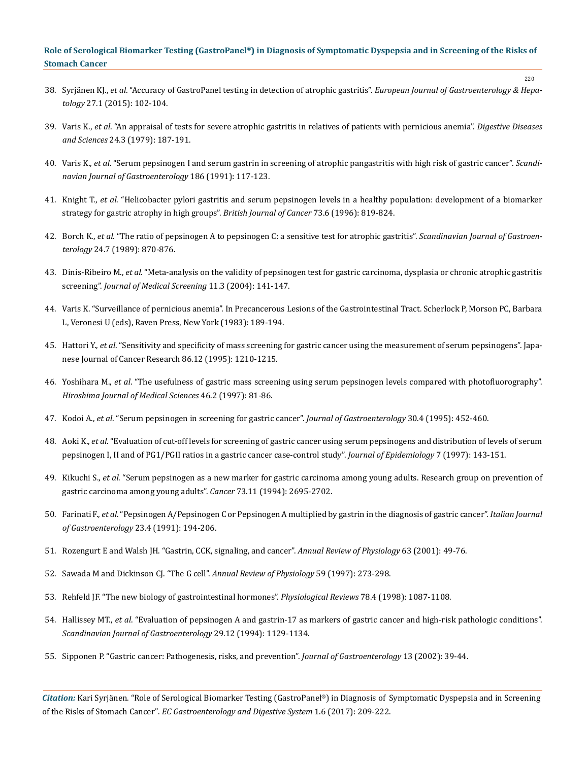38. Syrjänen KJ., *et al*[. "Accuracy of GastroPanel testing in detection of atrophic gastritis".](https://www.ncbi.nlm.nih.gov/pubmed/25426982) *European Journal of Gastroenterology & Hepatology* [27.1 \(2015\): 102-104.](https://www.ncbi.nlm.nih.gov/pubmed/25426982)

220

- 39. Varis K., *et al*[. "An appraisal of tests for severe atrophic gastritis in relatives of patients with pernicious anemia".](https://www.ncbi.nlm.nih.gov/pubmed/456206) *Digestive Diseases and Sciences* [24.3 \(1979\): 187-191.](https://www.ncbi.nlm.nih.gov/pubmed/456206)
- 40. Varis K., *et al*[. "Serum pepsinogen I and serum gastrin in screening of atrophic pangastritis with high risk of gastric cancer".](https://www.ncbi.nlm.nih.gov/pubmed/1759119) *Scandi[navian Journal of Gastroenterology](https://www.ncbi.nlm.nih.gov/pubmed/1759119)* 186 (1991): 117-123.
- 41. Knight T., *et al*[. "Helicobacter pylori gastritis and serum pepsinogen levels in a healthy population: development of a biomarker](https://www.ncbi.nlm.nih.gov/pmc/articles/PMC2074369/)  [strategy for gastric atrophy in high groups".](https://www.ncbi.nlm.nih.gov/pmc/articles/PMC2074369/) *British Journal of Cancer* 73.6 (1996): 819-824.
- 42. Borch K., *et al*[. "The ratio of pepsinogen A to pepsinogen C: a sensitive test for atrophic gastritis".](https://www.ncbi.nlm.nih.gov/pubmed/2799289) *Scandinavian Journal of Gastroenterology* [24.7 \(1989\): 870-876.](https://www.ncbi.nlm.nih.gov/pubmed/2799289)
- 43. Dinis-Ribeiro M., *et al*[. "Meta-analysis on the validity of pepsinogen test for gastric carcinoma, dysplasia or chronic atrophic gastritis](https://www.ncbi.nlm.nih.gov/pubmed/15333273)  screening". *[Journal of Medical Screening](https://www.ncbi.nlm.nih.gov/pubmed/15333273)* 11.3 (2004): 141-147.
- 44. Varis K. "Surveillance of pernicious anemia". In Precancerous Lesions of the Gastrointestinal Tract. Scherlock P, Morson PC, Barbara L, Veronesi U (eds), Raven Press, New York (1983): 189-194.
- 45. Hattori Y., *et al*[. "Sensitivity and specificity of mass screening for gastric cancer using the measurement of serum pepsinogens". Japa](https://www.ncbi.nlm.nih.gov/pubmed/8636012)[nese Journal of Cancer Research 86.12 \(1995\): 1210-1215.](https://www.ncbi.nlm.nih.gov/pubmed/8636012)
- 46. Yoshihara M., *et al*[. "The usefulness of gastric mass screening using serum pepsinogen levels compared with photofluorography".](https://www.ncbi.nlm.nih.gov/pubmed/9232936)  *[Hiroshima Journal of Medical Sciences](https://www.ncbi.nlm.nih.gov/pubmed/9232936)* 46.2 (1997): 81-86.
- 47. Kodoi A., *et al*[. "Serum pepsinogen in screening for gastric cancer".](http://link.springer.com/article/10.1007/BF02347560) *Journal of Gastroenterology* 30.4 (1995): 452-460.
- 48. Aoki K., *et al*. "Evaluation of cut-off levels for screening of gastric cancer using serum pepsinogens and distribution of levels of serum pepsinogen I, II and of PG1/PGII ratios in a gastric cancer case-control study". *Journal of Epidemiology* 7 (1997): 143-151.
- 49. Kikuchi S., *et al*[. "Serum pepsinogen as a new marker for gastric carcinoma among young adults. Research group on prevention of](https://www.ncbi.nlm.nih.gov/pubmed/8194008)  [gastric carcinoma among young adults".](https://www.ncbi.nlm.nih.gov/pubmed/8194008) *Cancer* 73.11 (1994): 2695-2702.
- 50. Farinati F., *et al*[. "Pepsinogen A/Pepsinogen C or Pepsinogen A multiplied by gastrin in the diagnosis of gastric cancer".](https://www.ncbi.nlm.nih.gov/pubmed/1751813) *Italian Journal of Gastroenterology* [23.4 \(1991\): 194-206.](https://www.ncbi.nlm.nih.gov/pubmed/1751813)
- 51. [Rozengurt E and Walsh JH. "Gastrin, CCK, signaling, and cancer".](https://www.ncbi.nlm.nih.gov/pubmed/11181948) *Annual Review of Physiology* 63 (2001): 49-76.
- 52. Sawada M and Dickinson CJ. "The G cell". *Annual Review of Physiology* 59 (1997): 273-298.
- 53. [Rehfeld JF. "The new biology of gastrointestinal hormones".](https://www.ncbi.nlm.nih.gov/pubmed/9790570) *Physiological Reviews* 78.4 (1998): 1087-1108.
- 54. Hallissey MT., *et al*[. "Evaluation of pepsinogen A and gastrin-17 as markers of gastric cancer and high-risk pathologic conditions".](https://www.ncbi.nlm.nih.gov/pubmed/7886402)  *[Scandinavian Journal of Gastroenterology](https://www.ncbi.nlm.nih.gov/pubmed/7886402)* 29.12 (1994): 1129-1134.
- 55. [Sipponen P. "Gastric cancer: Pathogenesis, risks, and prevention".](https://www.ncbi.nlm.nih.gov/pubmed/12109664) *Journal of Gastroenterology* 13 (2002): 39-44.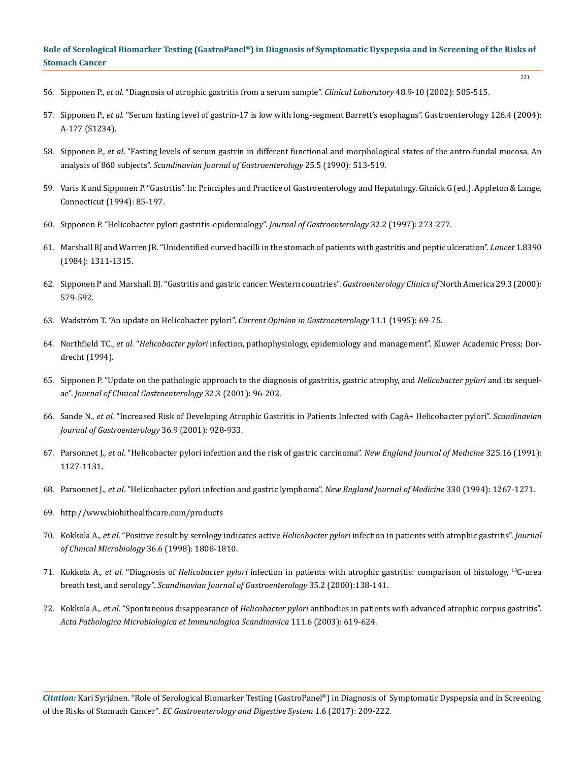221

- 56. Sipponen P., *et al*[. "Diagnosis of atrophic gastritis from a serum sample".](https://www.ncbi.nlm.nih.gov/labs/articles/12389711/) *Clinical Laboratory* 48.9-10 (2002): 505-515.
- 57. Sipponen P., *et al*. "Serum fasting level of gastrin-17 is low with long-segment Barrett's esophagus". Gastroenterology 126.4 (2004): A-177 (S1234).
- 58. Sipponen P., *et al*[. "Fasting levels of serum gastrin in different functional and morphological states of the antro-fundal mucosa. An](https://www.ncbi.nlm.nih.gov/pubmed/2359980) analysis of 860 subjects". *[Scandinavian Journal of Gastroenterology](https://www.ncbi.nlm.nih.gov/pubmed/2359980)* 25.5 (1990): 513-519.
- 59. Varis K and Sipponen P. "Gastritis". In: Principles and Practice of Gastroenterology and Hepatology. Gitnick G (ed.). Appleton & Lange, Connecticut (1994): 85-197.
- 60. [Sipponen P. "Helicobacter pylori gastritis-epidemiology".](https://www.ncbi.nlm.nih.gov/pubmed/9085182) *Journal of Gastroenterology* 32.2 (1997): 273-277.
- 61. [Marshall BJ and Warren JR. "Unidentified curved bacilli in the stomach of patients with gastritis and peptic ulceration".](https://www.ncbi.nlm.nih.gov/pubmed/6145023) *Lancet* 1.8390 [\(1984\): 1311-1315.](https://www.ncbi.nlm.nih.gov/pubmed/6145023)
- 62. [Sipponen P and Marshall BJ. "Gastritis and gastric cancer. Western countries".](https://www.ncbi.nlm.nih.gov/pubmed/11030074) *Gastroenterology Clinics of* North America 29.3 (2000): [579-592.](https://www.ncbi.nlm.nih.gov/pubmed/11030074)
- 63. [Wadström T. "An update on Helicobacter pylori".](http://journals.lww.com/co-gastroenterology/Abstract/1995/01000/An_update_on_Helicobacter_pylori_.14.aspx?trendmd-shared=0) *Current Opinion in Gastroenterology* 11.1 (1995): 69-75.
- 64. Northfield TC., *et al*. "*Helicobacter pylori* [infection, pathophysiology, epidemiology and management". Kluwer Academic Press; Dor](http://www.springer.com/gp/book/9780792388258)[drecht \(1994\).](http://www.springer.com/gp/book/9780792388258)
- 65. [Sipponen P. "Update on the pathologic approach to the diagnosis of gastritis, gastric atrophy, and](https://www.ncbi.nlm.nih.gov/pubmed/11246343) *Helicobacter pylori* and its sequelae". *[Journal of Clinical Gastroenterology](https://www.ncbi.nlm.nih.gov/pubmed/11246343)* 32.3 (2001): 96-202.
- 66. Sande N., *et al*[. "Increased Risk of Developing Atrophic Gastritis in Patients Infected with CagA+ Helicobacter pylori".](https://www.ncbi.nlm.nih.gov/pubmed/11521982) *Scandinavian [Journal of Gastroenterology](https://www.ncbi.nlm.nih.gov/pubmed/11521982)* 36.9 (2001): 928-933.
- 67. Parsonnet J., *et al*[. "Helicobacter pylori infection and the risk of gastric carcinoma".](https://www.ncbi.nlm.nih.gov/pubmed/1891020) *New England Journal of Medicine* 325.16 (1991): [1127-1131](https://www.ncbi.nlm.nih.gov/pubmed/1891020).
- 68. Parsonnet J., *et al*. "Helicobacter pylori infection and gastric lymphoma". *New England Journal of Medicine* 330 (1994): 1267-1271.
- 69. <http://www.biohithealthcare.com/products>
- 70. Kokkola A., *et al*. "Positive result by serology indicates active *Helicobacter pylori* [infection in patients with atrophic gastritis".](https://www.ncbi.nlm.nih.gov/pubmed/9620430) *Journal [of Clinical Microbiology](https://www.ncbi.nlm.nih.gov/pubmed/9620430)* 36.6 (1998): 1808-1810.
- 71. Kokkola A., *et al*. "Diagnosis of *Helicobacter pylori* [infection in patients with atrophic gastritis: comparison of histology,](https://www.ncbi.nlm.nih.gov/pubmed/10720110) <sup>13</sup>C-urea breath test, and serology". *[Scandinavian Journal of Gastroenterology](https://www.ncbi.nlm.nih.gov/pubmed/10720110)* 35.2 (2000):138-141.
- 72. Kokkola A., *et al*. "Spontaneous disappearance of *Helicobacter pylori* [antibodies in patients with advanced atrophic corpus gastritis".](https://www.ncbi.nlm.nih.gov/pubmed/12969017) *[Acta Pathologica Microbiologica et Immunologica Scandinavica](https://www.ncbi.nlm.nih.gov/pubmed/12969017)* 111.6 (2003): 619-624.